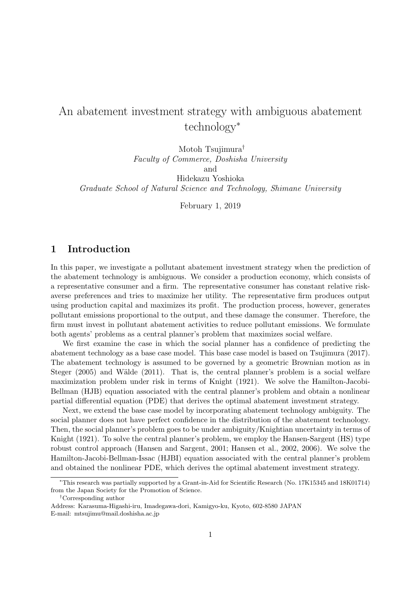# An abatement investment strategy with ambiguous abatement technology*<sup>∗</sup>*

Motoh Tsujimura*† Faculty of Commerce, Doshisha University* and Hidekazu Yoshioka *Graduate School of Natural Science and Technology, Shimane University*

February 1, 2019

## **1 Introduction**

In this paper, we investigate a pollutant abatement investment strategy when the prediction of the abatement technology is ambiguous. We consider a production economy, which consists of a representative consumer and a firm. The representative consumer has constant relative riskaverse preferences and tries to maximize her utility. The representative firm produces output using production capital and maximizes its profit. The production process, however, generates pollutant emissions proportional to the output, and these damage the consumer. Therefore, the firm must invest in pollutant abatement activities to reduce pollutant emissions. We formulate both agents' problems as a central planner's problem that maximizes social welfare.

We first examine the case in which the social planner has a confidence of predicting the abatement technology as a base case model. This base case model is based on Tsujimura (2017). The abatement technology is assumed to be governed by a geometric Brownian motion as in Steger  $(2005)$  and Wälde  $(2011)$ . That is, the central planner's problem is a social welfare maximization problem under risk in terms of Knight (1921). We solve the Hamilton-Jacobi-Bellman (HJB) equation associated with the central planner's problem and obtain a nonlinear partial differential equation (PDE) that derives the optimal abatement investment strategy.

Next, we extend the base case model by incorporating abatement technology ambiguity. The social planner does not have perfect confidence in the distribution of the abatement technology. Then, the social planner's problem goes to be under ambiguity/Knightian uncertainty in terms of Knight (1921). To solve the central planner's problem, we employ the Hansen-Sargent (HS) type robust control approach (Hansen and Sargent, 2001; Hansen et al., 2002, 2006). We solve the Hamilton-Jacobi-Bellman-Issac (HJBI) equation associated with the central planner's problem and obtained the nonlinear PDE, which derives the optimal abatement investment strategy.

*<sup>∗</sup>*This research was partially supported by a Grant-in-Aid for Scientific Research (No. 17K15345 and 18K01714) from the Japan Society for the Promotion of Science.

*<sup>†</sup>*Corresponding author

Address: Karasuma-Higashi-iru, Imadegawa-dori, Kamigyo-ku, Kyoto, 602-8580 JAPAN E-mail: mtsujimu@mail.doshisha.ac.jp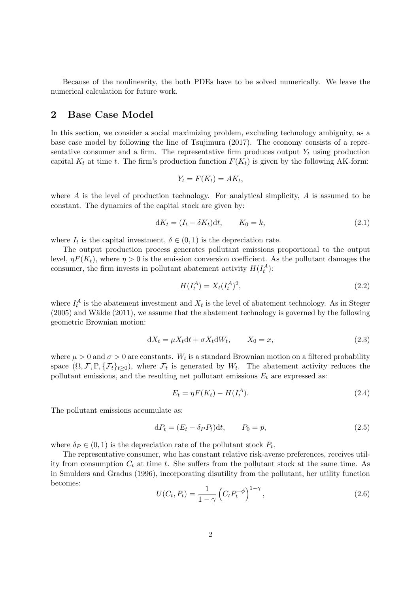Because of the nonlinearity, the both PDEs have to be solved numerically. We leave the numerical calculation for future work.

#### **2 Base Case Model**

In this section, we consider a social maximizing problem, excluding technology ambiguity, as a base case model by following the line of Tsujimura (2017). The economy consists of a representative consumer and a firm. The representative firm produces output  $Y_t$  using production capital  $K_t$  at time *t*. The firm's production function  $F(K_t)$  is given by the following AK-form:

$$
Y_t = F(K_t) = AK_t,
$$

where *A* is the level of production technology. For analytical simplicity, *A* is assumed to be constant. The dynamics of the capital stock are given by:

$$
dK_t = (I_t - \delta K_t)dt, \qquad K_0 = k,\tag{2.1}
$$

where  $I_t$  is the capital investment,  $\delta \in (0,1)$  is the depreciation rate.

The output production process generates pollutant emissions proportional to the output level,  $\eta F(K_t)$ , where  $\eta > 0$  is the emission conversion coefficient. As the pollutant damages the consumer, the firm invests in pollutant abatement activity  $H(I_t^A)$ :

$$
H(I_t^A) = X_t(I_t^A)^2,
$$
\n(2.2)

where  $I_t^A$  is the abatement investment and  $X_t$  is the level of abatement technology. As in Steger  $(2005)$  and Wälde  $(2011)$ , we assume that the abatement technology is governed by the following geometric Brownian motion:

$$
dX_t = \mu X_t dt + \sigma X_t dW_t, \qquad X_0 = x,\tag{2.3}
$$

where  $\mu > 0$  and  $\sigma > 0$  are constants.  $W_t$  is a standard Brownian motion on a filtered probability space  $(\Omega, \mathcal{F}, \mathbb{P}, \{\mathcal{F}_t\}_{t\geq 0})$ , where  $\mathcal{F}_t$  is generated by  $W_t$ . The abatement activity reduces the pollutant emissions, and the resulting net pollutant emissions  $E_t$  are expressed as:

$$
E_t = \eta F(K_t) - H(I_t^A). \tag{2.4}
$$

The pollutant emissions accumulate as:

$$
dP_t = (E_t - \delta_P P_t)dt, \qquad P_0 = p,\tag{2.5}
$$

where  $\delta_P \in (0,1)$  is the depreciation rate of the pollutant stock  $P_t$ .

The representative consumer, who has constant relative risk-averse preferences, receives utility from consumption  $C_t$  at time  $t$ . She suffers from the pollutant stock at the same time. As in Smulders and Gradus (1996), incorporating disutility from the pollutant, her utility function becomes:

$$
U(C_t, P_t) = \frac{1}{1 - \gamma} \left( C_t P_t^{-\phi} \right)^{1 - \gamma},\tag{2.6}
$$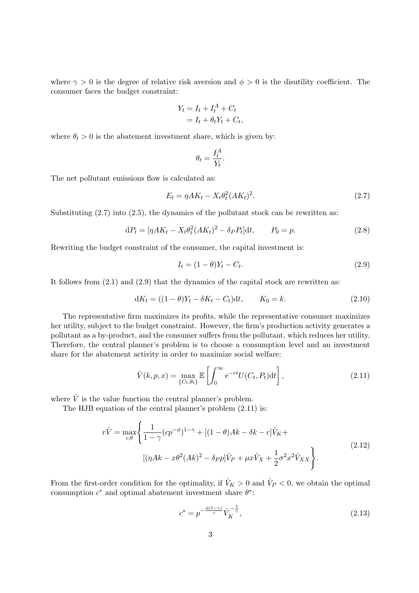where  $\gamma > 0$  is the degree of relative risk aversion and  $\phi > 0$  is the disutility coefficient. The consumer faces the budget constraint:

$$
Y_t = I_t + I_t^A + C_t
$$
  
=  $I_t + \theta_t Y_t + C_t$ ,

where  $\theta_t > 0$  is the abatement investment share, which is given by:

$$
\theta_t = \frac{I_t^A}{Y_t}.
$$

The net pollutant emissions flow is calculated as:

$$
E_t = \eta A K_t - X_t \theta_t^2 (A K_t)^2. \tag{2.7}
$$

Substituting  $(2.7)$  into  $(2.5)$ , the dynamics of the pollutant stock can be rewritten as:

$$
dP_t = [\eta AK_t - X_t\theta_t^2 (AK_t)^2 - \delta_P P_t]dt, \qquad P_0 = p. \tag{2.8}
$$

Rewriting the budget constraint of the consumer, the capital investment is:

$$
I_t = (1 - \theta)Y_t - C_t.
$$
\n(2.9)

It follows from  $(2.1)$  and  $(2.9)$  that the dynamics of the capital stock are rewritten as:

$$
dK_t = ((1 - \theta)Y_t - \delta K_t - C_t)dt, \qquad K_0 = k. \tag{2.10}
$$

The representative firm maximizes its profits, while the representative consumer maximizes her utility, subject to the budget constraint. However, the firm's production activity generates a pollutant as a by-product, and the consumer suffers from the pollutant, which reduces her utility. Therefore, the central planner's problem is to choose a consumption level and an investment share for the abatement activity in order to maximize social welfare:

$$
\hat{V}(k, p, x) = \max_{\{C_t, \theta_t\}} \mathbb{E}\left[\int_0^\infty e^{-rt} U(C_t, P_t) dt\right],\tag{2.11}
$$

where  $\hat{V}$  is the value function the central planner's problem.

The HJB equation of the central planner's problem (2.11) is:

$$
r\hat{V} = \max_{c,\theta} \left\{ \frac{1}{1-\gamma} (cp^{-\phi})^{1-\gamma} + [(1-\theta)Ak - \delta k - c]\hat{V}_K + (1-\theta)Ak - \delta k - c]\hat{V}_K + \frac{1}{2}\sigma^2 x^2 \hat{V}_{XX} \right\}.
$$
\n(2.12)

From the first-order condition for the optimality, if  $\hat{V}_K > 0$  and  $\hat{V}_P < 0$ , we obtain the optimal consumption  $c^*$  and optimal abatement investment share  $\theta^*$ :

$$
c^* = p^{-\frac{\phi(1-\gamma)}{\gamma}} \hat{V}_K^{-\frac{1}{\gamma}},\tag{2.13}
$$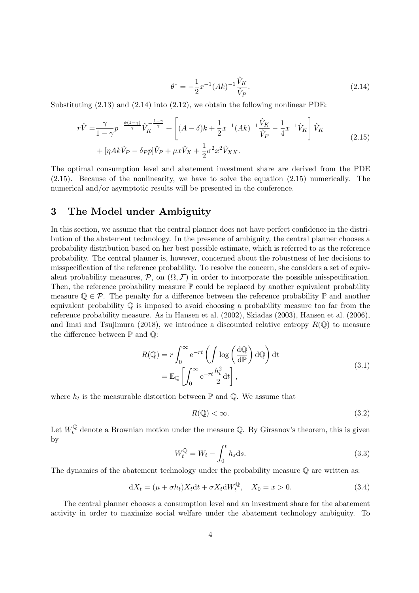$$
\theta^* = -\frac{1}{2}x^{-1}(Ak)^{-1}\frac{\hat{V}_K}{\hat{V}_P}.
$$
\n(2.14)

Substituting  $(2.13)$  and  $(2.14)$  into  $(2.12)$ , we obtain the following nonlinear PDE:

$$
r\hat{V} = \frac{\gamma}{1-\gamma}p^{-\frac{\phi(1-\gamma)}{\gamma}}\hat{V}_K^{-\frac{1-\gamma}{\gamma}} + \left[ (A-\delta)k + \frac{1}{2}x^{-1}(Ak)^{-1}\frac{\hat{V}_K}{\hat{V}_P} - \frac{1}{4}x^{-1}\hat{V}_K \right] \hat{V}_K
$$
  
+ 
$$
[\eta Ak\hat{V}_P - \delta_P p]\hat{V}_P + \mu x \hat{V}_X + \frac{1}{2}\sigma^2 x^2 \hat{V}_{XX}.
$$
 (2.15)

The optimal consumption level and abatement investment share are derived from the PDE (2.15). Because of the nonlinearity, we have to solve the equation (2.15) numerically. The numerical and/or asymptotic results will be presented in the conference.

## **3 The Model under Ambiguity**

In this section, we assume that the central planner does not have perfect confidence in the distribution of the abatement technology. In the presence of ambiguity, the central planner chooses a probability distribution based on her best possible estimate, which is referred to as the reference probability. The central planner is, however, concerned about the robustness of her decisions to misspecification of the reference probability. To resolve the concern, she considers a set of equivalent probability measures,  $P$ , on  $(\Omega, \mathcal{F})$  in order to incorporate the possible misspecification. Then, the reference probability measure  $\mathbb P$  could be replaced by another equivalent probability measure  $\mathbb{Q} \in \mathcal{P}$ . The penalty for a difference between the reference probability  $\mathbb{P}$  and another equivalent probability  $\mathbb Q$  is imposed to avoid choosing a probability measure too far from the reference probability measure. As in Hansen et al. (2002), Skiadas (2003), Hansen et al. (2006), and Imai and Tsujimura (2018), we introduce a discounted relative entropy  $R(\mathbb{Q})$  to measure the difference between  $\mathbb P$  and  $\mathbb Q$ :

$$
R(\mathbb{Q}) = r \int_0^\infty e^{-rt} \left( \int \log \left( \frac{d\mathbb{Q}}{d\mathbb{P}} \right) d\mathbb{Q} \right) dt
$$
  
=  $\mathbb{E}_{\mathbb{Q}} \left[ \int_0^\infty e^{-rt} \frac{h_t^2}{2} dt \right],$  (3.1)

where  $h_t$  is the measurable distortion between  $\mathbb P$  and  $\mathbb Q$ . We assume that

$$
R(\mathbb{Q}) < \infty. \tag{3.2}
$$

Let  $W_t^{\mathbb{Q}}$  denote a Brownian motion under the measure  $\mathbb{Q}$ . By Girsanov's theorem, this is given by

$$
W_t^{\mathbb{Q}} = W_t - \int_0^t h_s \, \mathrm{d}s. \tag{3.3}
$$

The dynamics of the abatement technology under the probability measure  $\mathbb Q$  are written as:

$$
dX_t = (\mu + \sigma h_t)X_t dt + \sigma X_t dW_t^{\mathbb{Q}}, \quad X_0 = x > 0.
$$
\n(3.4)

The central planner chooses a consumption level and an investment share for the abatement activity in order to maximize social welfare under the abatement technology ambiguity. To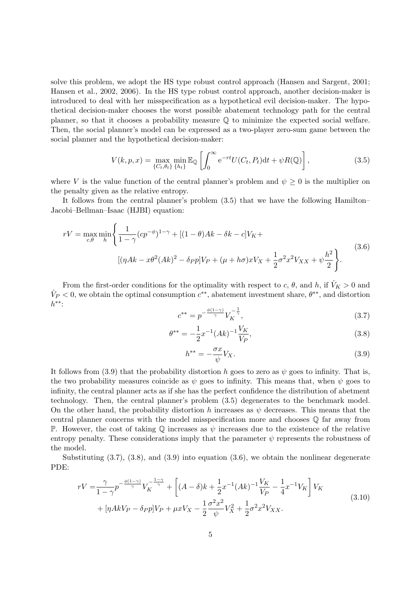solve this problem, we adopt the HS type robust control approach (Hansen and Sargent, 2001; Hansen et al., 2002, 2006). In the HS type robust control approach, another decision-maker is introduced to deal with her misspecification as a hypothetical evil decision-maker. The hypothetical decision-maker chooses the worst possible abatement technology path for the central planner, so that it chooses a probability measure Q to minimize the expected social welfare. Then, the social planner's model can be expressed as a two-player zero-sum game between the social planner and the hypothetical decision-maker:

$$
V(k, p, x) = \max_{\{C_t, \theta_t\}} \min_{\{h_t\}} \mathbb{E}_{\mathbb{Q}} \left[ \int_0^\infty e^{-rt} U(C_t, P_t) dt + \psi R(\mathbb{Q}) \right],
$$
\n(3.5)

where *V* is the value function of the central planner's problem and  $\psi \geq 0$  is the multiplier on the penalty given as the relative entropy.

It follows from the central planner's problem (3.5) that we have the following Hamilton– Jacobi–Bellman–Isaac (HJBI) equation:

$$
rV = \max_{c,\theta} \min_{h} \left\{ \frac{1}{1-\gamma} (cp^{-\phi})^{1-\gamma} + [(1-\theta)Ak - \delta k - c]V_K + (n+\phi)xV_X + \frac{1}{2}\sigma^2 x^2 V_{XX} + \psi \frac{h^2}{2} \right\}.
$$
\n(3.6)

From the first-order conditions for the optimality with respect to *c*,  $\theta$ , and *h*, if  $\hat{V}_K > 0$  and  $\hat{V}_P < 0$ , we obtain the optimal consumption  $c^{**}$ , abatement investment share,  $\theta^{**}$ , and distortion *h ∗∗*:

$$
c^{**} = p^{-\frac{\phi(1-\gamma)}{\gamma}} V_K^{-\frac{1}{\gamma}},\tag{3.7}
$$

$$
\theta^{**} = -\frac{1}{2}x^{-1}(Ak)^{-1}\frac{V_K}{V_P},\tag{3.8}
$$

$$
h^{**} = -\frac{\sigma x}{\psi} V_X. \tag{3.9}
$$

It follows from (3.9) that the probability distortion *h* goes to zero as  $\psi$  goes to infinity. That is, the two probability measures coincide as  $\psi$  goes to infinity. This means that, when  $\psi$  goes to infinity, the central planner acts as if she has the perfect confidence the distribution of abetment technology. Then, the central planner's problem (3.5) degenerates to the benchmark model. On the other hand, the probability distortion *h* increases as  $\psi$  decreases. This means that the central planner concerns with the model misspecification more and chooses Q far away from P. However, the cost of taking  $\mathbb Q$  increases as  $\psi$  increases due to the existence of the relative entropy penalty. These considerations imply that the parameter  $\psi$  represents the robustness of the model.

Substituting (3.7), (3.8), and (3.9) into equation (3.6), we obtain the nonlinear degenerate PDE:

$$
rV = \frac{\gamma}{1-\gamma} p^{-\frac{\phi(1-\gamma)}{\gamma}} V_K^{-\frac{1-\gamma}{\gamma}} + \left[ (A-\delta)k + \frac{1}{2}x^{-1}(Ak)^{-1}\frac{V_K}{V_P} - \frac{1}{4}x^{-1}V_K \right] V_K
$$
  
+ 
$$
[\eta AkV_P - \delta_P p]V_P + \mu x V_X - \frac{1}{2}\frac{\sigma^2 x^2}{\psi}V_X^2 + \frac{1}{2}\sigma^2 x^2 V_{XX}.
$$
 (3.10)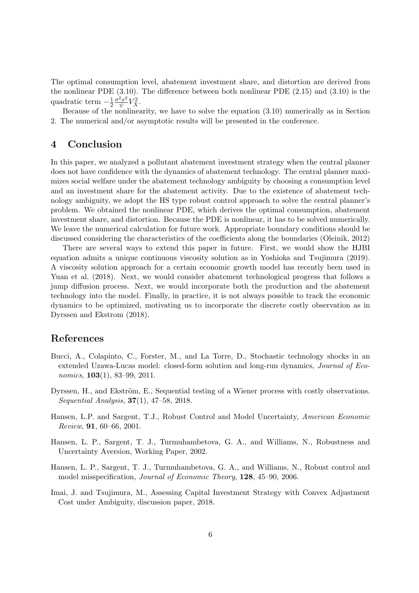The optimal consumption level, abatement investment share, and distortion are derived from the nonlinear PDE (3.10). The difference between both nonlinear PDE (2.15) and (3.10) is the quadratic term *−* 1 2  $\sigma^2 x^2$  $\frac{2x^2}{\psi}V_X^2$ .

Because of the nonlinearity, we have to solve the equation (3.10) numerically as in Section 2. The numerical and/or asymptotic results will be presented in the conference.

### **4 Conclusion**

In this paper, we analyzed a pollutant abatement investment strategy when the central planner does not have confidence with the dynamics of abatement technology. The central planner maximizes social welfare under the abatement technology ambiguity by choosing a consumption level and an investment share for the abatement activity. Due to the existence of abatement technology ambiguity, we adopt the HS type robust control approach to solve the central planner's problem. We obtained the nonlinear PDE, which derives the optimal consumption, abatement investment share, and distortion. Because the PDE is nonlinear, it has to be solved numerically. We leave the numerical calculation for future work. Appropriate boundary conditions should be discussed considering the characteristics of the coefficients along the boundaries (Oleinik, 2012)

There are several ways to extend this paper in future. First, we would show the HJBI equation admits a unique continuous viscosity solution as in Yoshioka and Tsujimura (2019). A viscosity solution approach for a certain economic growth model has recently been used in Yuan et al. (2018). Next, we would consider abatement technological progress that follows a jump diffusion process. Next, we would incorporate both the production and the abatement technology into the model. Finally, in practice, it is not always possible to track the economic dynamics to be optimized, motivating us to incorporate the discrete costly observation as in Dyrssen and Ekstrom (2018).

#### **References**

- Bucci, A., Colapinto, C., Forster, M., and La Torre, D., Stochastic technology shocks in an extended Uzawa-Lucas model: closed-form solution and long-run dynamics, *Journal of Economics*, **103**(1), 83–99, 2011.
- Dyrssen, H., and Ekström, E., Sequential testing of a Wiener process with costly observations. *Sequential Analysis*, **37**(1), 47–58, 2018.
- Hansen, L.P. and Sargent, T.J., Robust Control and Model Uncertainty, *American Economic Review*, **91**, 60–66, 2001.
- Hansen, L. P., Sargent, T. J., Turmuhambetova, G. A., and Williams, N., Robustness and Uncertainty Aversion, Working Paper, 2002.
- Hansen, L. P., Sargent, T. J., Turmuhambetova, G. A., and Williams, N., Robust control and model misspecification, *Journal of Economic Theory*, **128**, 45–90, 2006.
- Imai, J. and Tsujimura, M., Assessing Capital Investment Strategy with Convex Adjustment Cost under Ambiguity, discussion paper, 2018.